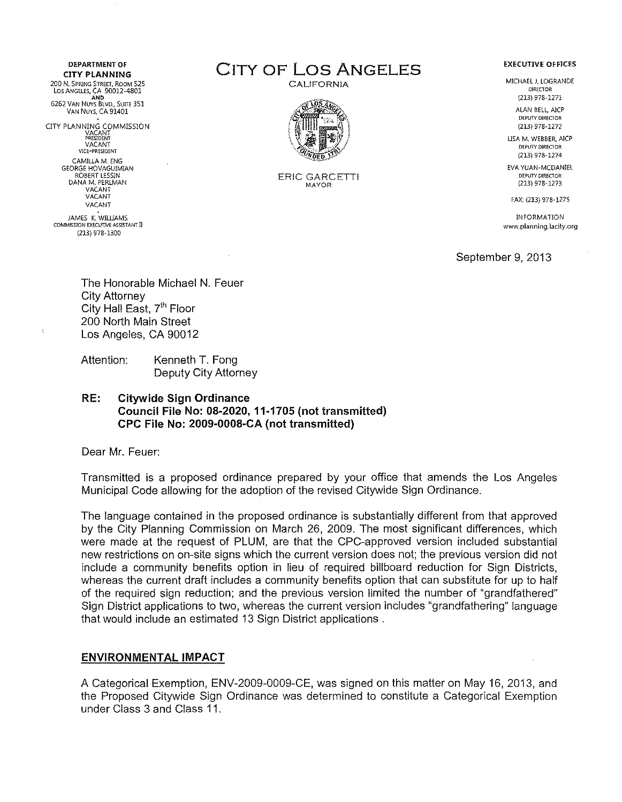**DEPARTMENT OF**  200 N. SPRING STREET, ROOM 525 Los Angeles, CA 90012-4801<br>AND AND<br>6262 Van Nuys Blvd., Suite 351 VAN NUYS, CA 91401 ClTY PLANNING COMMISSION VACANT PRESIDENT VACANT VJC!:·PRESlDENT CAMILLA M. ENG GEORGE HOVAGU!MlAN ROBERT LESSIN DANA M. PERLMAN VACANT VACANT VACANT JAMES K. WILLIAMS COMMISSION EXECUTIVE ASSISTANT II

(213) 978· 1300

DEPARTMENT OF **CITY OF LOS ANGELES** 

CALIFORNIA



ERIC GARCETTI MAYOR

#### **EXECUTIVE OFFICES**

MICHAEL J. LOGRANDE **DIRECTOR** (213) 978·1271

> ALAN BELL, AICP DEPUTY DIRECTOR (213} 978·1272

USA M. WEBBER, AICP DEPUIN' DIRECTOR {213) 978-1274

EVA YUAN-MCDANIEL DEPUTY DIRECTOR (213) 978-1273

FAX: (213) 978-1275

INFORMATION www.planning.ladty.org

September 9, 2013

The Honorable Michael N. Feuer City Attorney City Hall East, 7<sup>th</sup> Floor 200 North Main Street Los Angeles, CA 90012

Attention: Kenneth T. Fong Deputy City Attorney

# RE: Citywide Sign Ordinance Council File No: 08-2020, 11-1705 (not transmitted) CPC File No: 2009-0008-CA (not transmitted)

Dear Mr. Feuer:

Transmitted is a proposed ordinance prepared by your office that amends the Los Angeles Municipal Code allowing for the adoption of the revised Citywide Sign Ordinance.

The language contained in the proposed ordinance is substantially different from that approved by the City Planning Commission on March 26, 2009. The most significant differences, which were made at the request of PLUM, are that the CPC-approved version included substantial new restrictions on on-site signs which the current version does not; the previous version did not include a community benefits option in lieu of required billboard reduction for Sign Districts, whereas the current draft includes a community benefits option that can substitute for up to half of the required sign reduction; and the previous version limited the number of "grandfathered" Sign District applications to two, whereas the current version includes "grandfathering" language that would include an estimated 13 Sign District applications .

# ENVIRONMENTAL IMPACT

A Categorical Exemption, ENV-2009-0009-CE, was signed on this matter on May 16, 2013, and the Proposed Citywide Sign Ordinance was determined to constitute a Categorical Exemption under Class 3 and Class 11.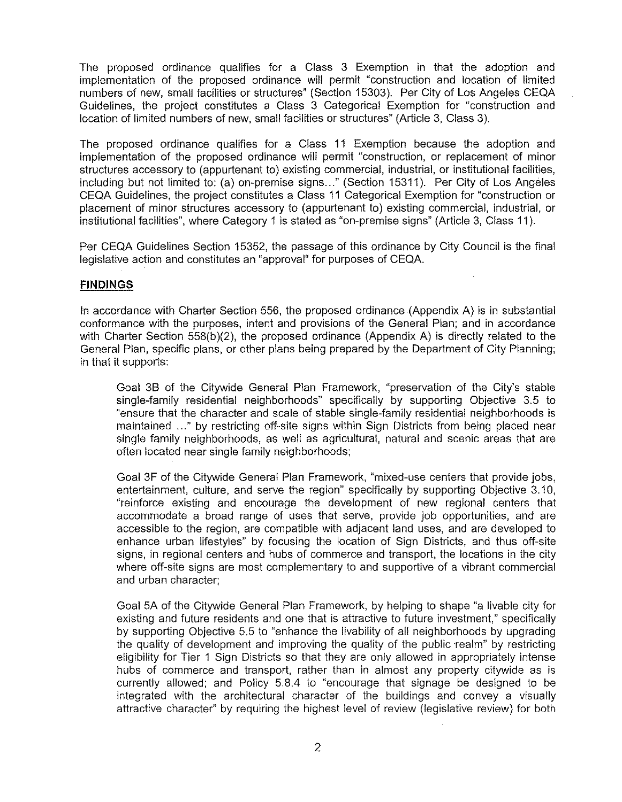The proposed ordinance qualifies for a Class 3 Exemption in that the adoption and implementation of the proposed ordinance will permit "construction and location of limited numbers of new, small facilities or structures" (Section 15303). Per City of Los Angeles CEQA Guidelines, the project constitutes a Class 3 Categorical Exemption for "construction and location of limited numbers of new, small facilities or structures" (Article 3, Class 3).

The proposed ordinance qualifies for a Class 11 Exemption because the adoption and implementation of the proposed ordinance will permit "construction, or replacement of minor structures accessory to (appurtenant to) existing commercial, industrial, or institutional facilities, including but not limited to: (a) on-premise signs..." (Section 15311). Per City of Los Angeles CEQA Guidelines, the project constitutes a Class 11 Categorical Exemption for "construction or placement of minor structures accessory to (appurtenant to) existing commercial, industrial, or institutional facilities", where Category 1 is stated as "on-premise signs" (Article 3, Class 11 ).

Per CEQA Guidelines Section 15352, the passage of this ordinance by City Council is the final legislative action and constitutes an "approval" for purposes of CEQA.

# **FINDINGS**

In accordance with Charter Section 556, the proposed ordinance (Appendix A) is in substantial conformance with the purposes, intent and provisions of the General Plan; and in accordance with Charter Section 558(b)(2), the proposed ordinance (Appendix A) is directly related to the General Plan, specific plans, or other plans being prepared by the Department of City Planning; in that it supports:

Goal 3B of the Citywide General Plan Framework, "preservation of the City's stable single-family residential neighborhoods" specifically by supporting Objective 3.5 to "ensure that the character and scale of stable single-family residential neighborhoods is maintained ..." by restricting off-site signs within Sign Districts from being placed near single family neighborhoods, as well as agricultural, natural and scenic areas that are often located near single family neighborhoods;

Goal 3F of the Citywide General Plan Framework, "mixed-use centers that provide jobs, entertainment, culture, and serve the region" specifically by supporting Objective 3.10, "reinforce existing and encourage the development of new regional centers that accommodate a broad range of uses that serve, provide job opportunities, and are accessible to the region, are compatible with adjacent land uses, and are developed to enhance urban lifestyles" by focusing the location of Sign Districts, and thus off-site signs, in regional centers and hubs of commerce and transport, the locations in the city where off-site signs are most complementary to and supportive of a vibrant commercial and urban character;

Goal 5A of the Citywide General Plan Framework, by helping to shape "a livable city for existing and future residents and one that is attractive to future investment," specifically by supporting Objective 5.5 to "enhance the livability of all neighborhoods by upgrading the quality of development and improving the quality of the public realm" by restricting eligibility for Tier 1 Sign Districts so that they are only allowed in appropriately intense hubs of commerce and transport, rather than in almost any property citywide as is currently allowed; and Policy 5.8.4 to "encourage that signage be designed to be integrated with the architectural character of the buildings and convey a visually attractive character" by requiring the highest level of review (legislative review) for both